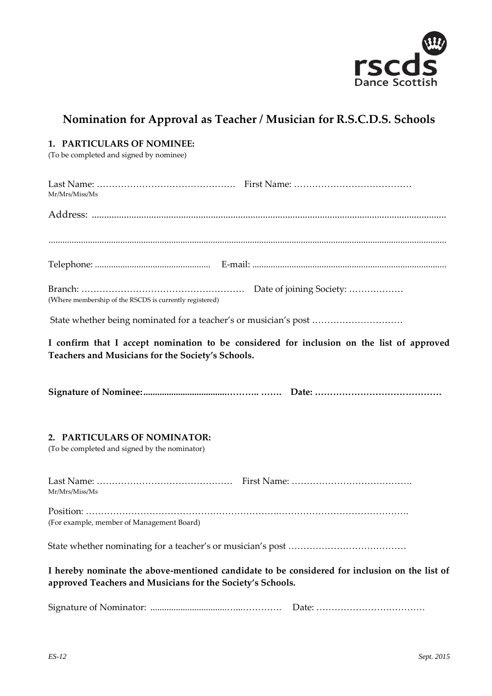

## **Nomination for Approval as Teacher / Musician for R.S.C.D.S. Schools**

| 1. PARTICULARS OF NOMINEE:<br>(To be completed and signed by nominee)                                                                                       |
|-------------------------------------------------------------------------------------------------------------------------------------------------------------|
| Mr/Mrs/Miss/Ms                                                                                                                                              |
|                                                                                                                                                             |
|                                                                                                                                                             |
|                                                                                                                                                             |
| (Where membership of the RSCDS is currently registered)                                                                                                     |
| State whether being nominated for a teacher's or musician's post                                                                                            |
| I confirm that I accept nomination to be considered for inclusion on the list of approved<br>Teachers and Musicians for the Society's Schools.              |
|                                                                                                                                                             |
| 2. PARTICULARS OF NOMINATOR:<br>(To be completed and signed by the nominator)                                                                               |
| Mr/Mrs/Miss/Ms                                                                                                                                              |
| (For example, member of Management Board)                                                                                                                   |
|                                                                                                                                                             |
| I hereby nominate the above-mentioned candidate to be considered for inclusion on the list of<br>approved Teachers and Musicians for the Society's Schools. |
|                                                                                                                                                             |